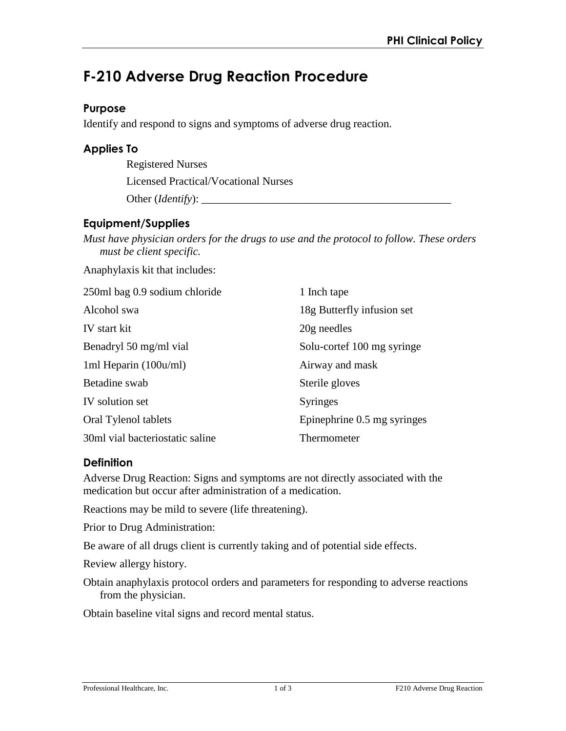# **F-210 Adverse Drug Reaction Procedure**

#### **Purpose**

Identify and respond to signs and symptoms of adverse drug reaction.

#### **Applies To**

Registered Nurses Licensed Practical/Vocational Nurses

Other (*Identify*):

### **Equipment/Supplies**

*Must have physician orders for the drugs to use and the protocol to follow. These orders must be client specific.*

Anaphylaxis kit that includes:

| 250ml bag 0.9 sodium chloride   | 1 Inch tape                 |
|---------------------------------|-----------------------------|
| Alcohol swa                     | 18g Butterfly infusion set  |
| IV start kit                    | 20g needles                 |
| Benadryl 50 mg/ml vial          | Solu-cortef 100 mg syringe  |
| 1ml Heparin $(100u/ml)$         | Airway and mask             |
| Betadine swab                   | Sterile gloves              |
| IV solution set                 | <b>Syringes</b>             |
| Oral Tylenol tablets            | Epinephrine 0.5 mg syringes |
| 30ml vial bacteriostatic saline | Thermometer                 |

#### **Definition**

Adverse Drug Reaction: Signs and symptoms are not directly associated with the medication but occur after administration of a medication.

Reactions may be mild to severe (life threatening).

Prior to Drug Administration:

Be aware of all drugs client is currently taking and of potential side effects.

Review allergy history.

Obtain anaphylaxis protocol orders and parameters for responding to adverse reactions from the physician.

Obtain baseline vital signs and record mental status.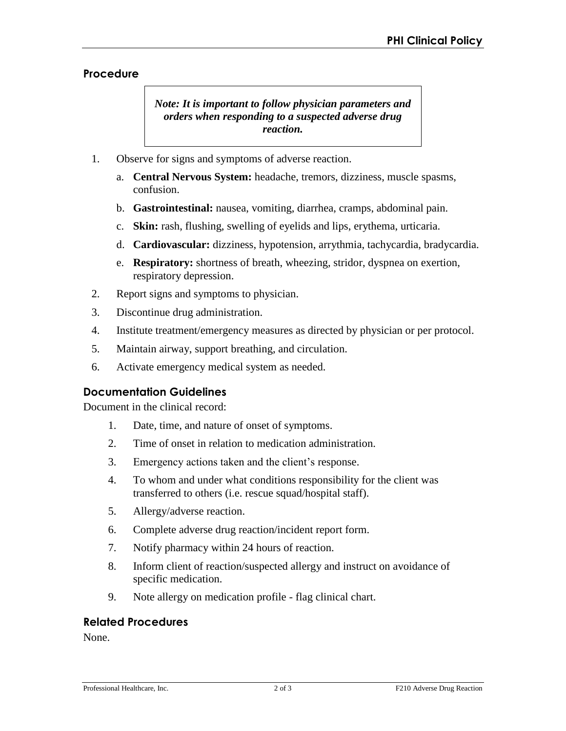#### **Procedure**

*Note: It is important to follow physician parameters and orders when responding to a suspected adverse drug reaction.* 

- 1. Observe for signs and symptoms of adverse reaction.
	- a. **Central Nervous System:** headache, tremors, dizziness, muscle spasms, confusion.
	- b. **Gastrointestinal:** nausea, vomiting, diarrhea, cramps, abdominal pain.
	- c. **Skin:** rash, flushing, swelling of eyelids and lips, erythema, urticaria.
	- d. **Cardiovascular:** dizziness, hypotension, arrythmia, tachycardia, bradycardia.
	- e. **Respiratory:** shortness of breath, wheezing, stridor, dyspnea on exertion, respiratory depression.
- 2. Report signs and symptoms to physician.
- 3. Discontinue drug administration.
- 4. Institute treatment/emergency measures as directed by physician or per protocol.
- 5. Maintain airway, support breathing, and circulation.
- 6. Activate emergency medical system as needed.

#### **Documentation Guidelines**

Document in the clinical record:

- 1. Date, time, and nature of onset of symptoms.
- 2. Time of onset in relation to medication administration.
- 3. Emergency actions taken and the client's response.
- 4. To whom and under what conditions responsibility for the client was transferred to others (i.e. rescue squad/hospital staff).
- 5. Allergy/adverse reaction.
- 6. Complete adverse drug reaction/incident report form.
- 7. Notify pharmacy within 24 hours of reaction.
- 8. Inform client of reaction/suspected allergy and instruct on avoidance of specific medication.
- 9. Note allergy on medication profile flag clinical chart.

#### **Related Procedures**

None.